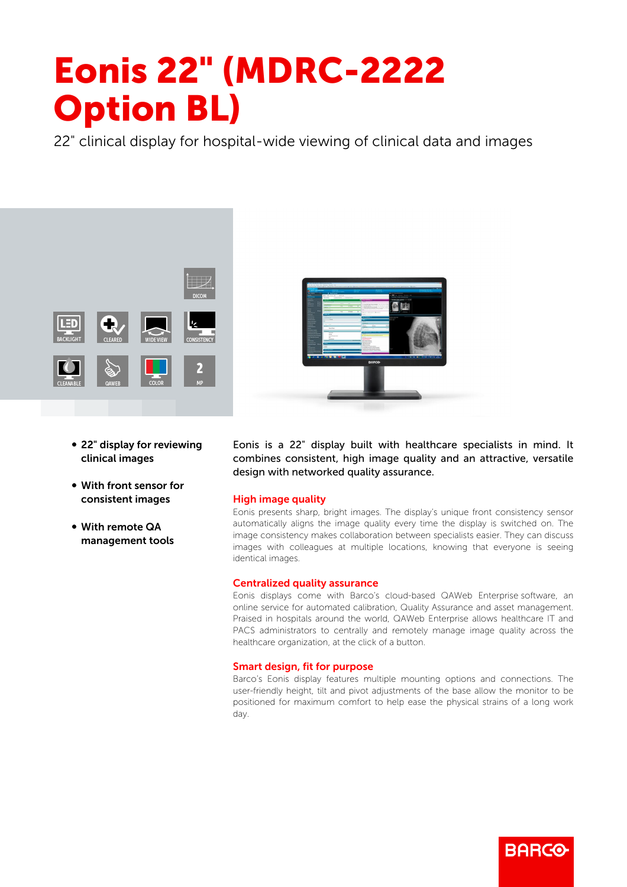# Eonis 22" (MDRC-2222 Option BL)

22" clinical display for hospital-wide viewing of clinical data and images



- 22" display for reviewing clinical images
- With front sensor for consistent images
- With remote QA management tools



Eonis is a 22" display built with healthcare specialists in mind. It combines consistent, high image quality and an attractive, versatile design with networked quality assurance.

## High image quality

Eonis presents sharp, bright images. The display's unique front consistency sensor automatically aligns the image quality every time the display is switched on. The image consistency makes collaboration between specialists easier. They can discuss images with colleagues at multiple locations, knowing that everyone is seeing identical images.

### Centralized quality assurance

Eonis displays come with Barco's cloud-based QAWeb Enterprise software, an online service for automated calibration, Quality Assurance and asset management. Praised in hospitals around the world, QAWeb Enterprise allows healthcare IT and PACS administrators to centrally and remotely manage image quality across the healthcare organization, at the click of a button.

### Smart design, fit for purpose

Barco's Eonis display features multiple mounting options and connections. The user-friendly height, tilt and pivot adjustments of the base allow the monitor to be positioned for maximum comfort to help ease the physical strains of a long work day.

RARGG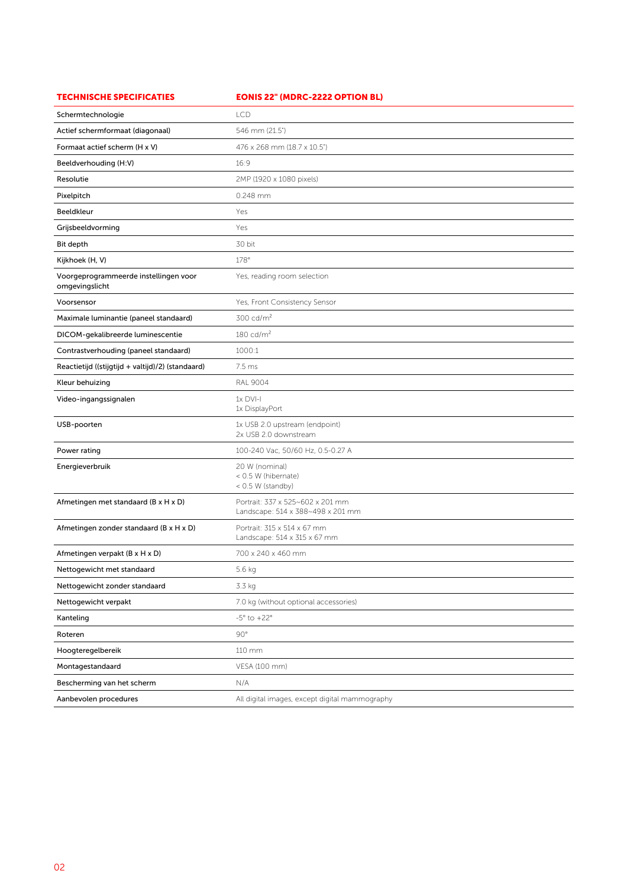| <b>TECHNISCHE SPECIFICATIES</b>                         | <b>EONIS 22" (MDRC-2222 OPTION BL)</b>                                |
|---------------------------------------------------------|-----------------------------------------------------------------------|
| Schermtechnologie                                       | <b>LCD</b>                                                            |
| Actief schermformaat (diagonaal)                        | 546 mm (21.5")                                                        |
| Formaat actief scherm (H x V)                           | 476 x 268 mm (18.7 x 10.5")                                           |
| Beeldverhouding (H:V)                                   | 16:9                                                                  |
| Resolutie                                               | 2MP (1920 x 1080 pixels)                                              |
| Pixelpitch                                              | 0.248 mm                                                              |
| Beeldkleur                                              | Yes                                                                   |
| Grijsbeeldvorming                                       | Yes                                                                   |
| Bit depth                                               | 30 bit                                                                |
| Kijkhoek (H, V)                                         | 178°                                                                  |
| Voorgeprogrammeerde instellingen voor<br>omgevingslicht | Yes, reading room selection                                           |
| Voorsensor                                              | Yes, Front Consistency Sensor                                         |
| Maximale luminantie (paneel standaard)                  | $300 \text{ cd/m}^2$                                                  |
| DICOM-gekalibreerde luminescentie                       | $180 \text{ cd/m}^2$                                                  |
| Contrastverhouding (paneel standaard)                   | 1000:1                                                                |
| Reactietijd ((stijgtijd + valtijd)/2) (standaard)       | 7.5 ms                                                                |
| Kleur behuizing                                         | <b>RAL 9004</b>                                                       |
| Video-ingangssignalen                                   | $1x$ DVI-I<br>1x DisplayPort                                          |
| USB-poorten                                             | 1x USB 2.0 upstream (endpoint)<br>2x USB 2.0 downstream               |
| Power rating                                            | 100-240 Vac, 50/60 Hz, 0.5-0.27 A                                     |
| Energieverbruik                                         | 20 W (nominal)<br>< 0.5 W (hibernate)<br>< 0.5 W (standby)            |
| Afmetingen met standaard (B x H x D)                    | Portrait: 337 x 525~602 x 201 mm<br>Landscape: 514 x 388~498 x 201 mm |
| Afmetingen zonder standaard (B x H x D)                 | Portrait: 315 x 514 x 67 mm<br>Landscape: 514 x 315 x 67 mm           |
| Afmetingen verpakt (B x H x D)                          | 700 x 240 x 460 mm                                                    |
| Nettogewicht met standaard                              | 5.6 kg                                                                |
| Nettogewicht zonder standaard                           | 3.3 kg                                                                |
| Nettogewicht verpakt                                    | 7.0 kg (without optional accessories)                                 |
| Kanteling                                               | $-5^\circ$ to $+22^\circ$                                             |
| Roteren                                                 | $90^{\circ}$                                                          |
| Hoogteregelbereik                                       | 110 mm                                                                |
| Montagestandaard                                        | VESA (100 mm)                                                         |
| Bescherming van het scherm                              | N/A                                                                   |
| Aanbevolen procedures                                   | All digital images, except digital mammography                        |